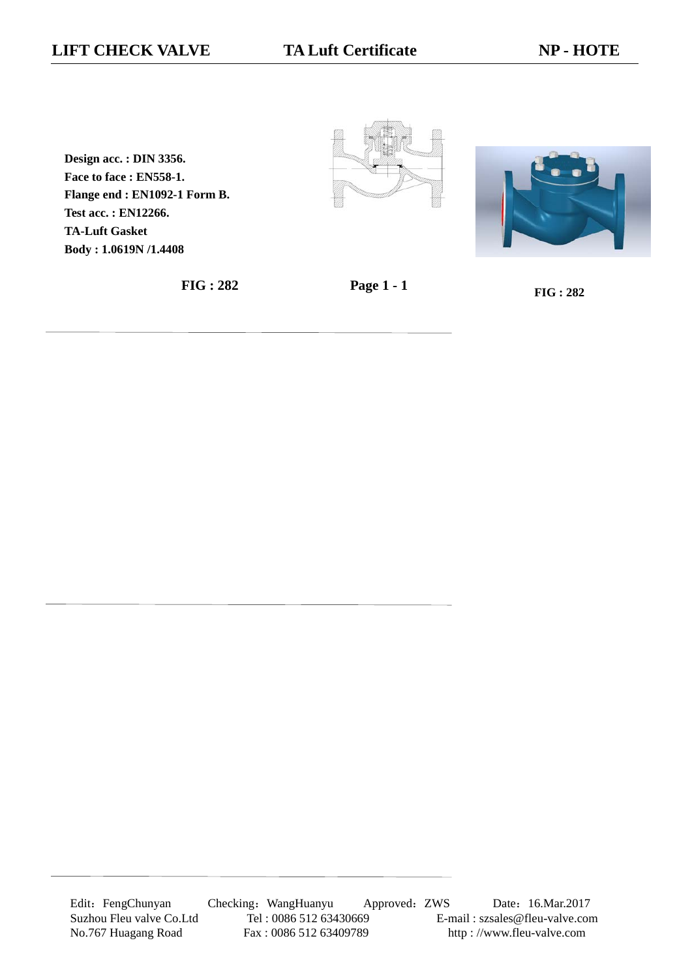**Design acc. : DIN 3356. Face to face : EN558-1. Flange end : EN1092-1 Form B. Test acc. : EN12266. TA-Luft Gasket Body : 1.0619N /1.4408**







Edit: FengChunyan Checking: WangHuanyu Approved: ZWS Date: 16.Mar.2017 Suzhou Fleu valve Co.Ltd Tel : 0086 512 63430669 E-mail : szsales@fleu-valve.com<br>No.767 Huagang Road Fax : 0086 512 63409789 http : //www.fleu-valve.com